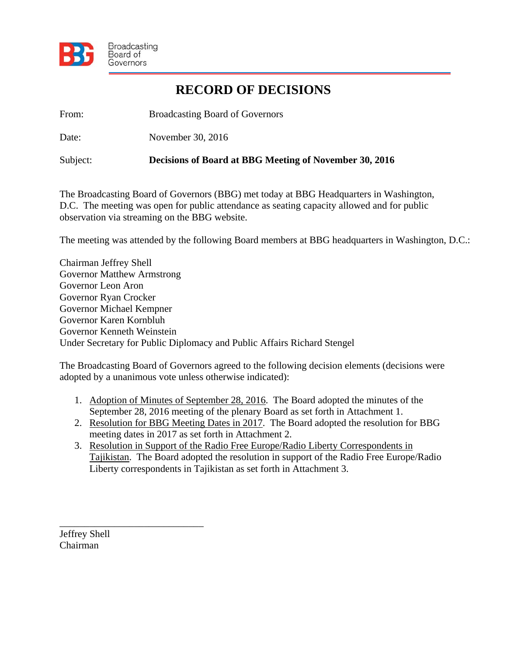

## **RECORD OF DECISIONS**

From: Broadcasting Board of Governors

Date: November 30, 2016

Subject: **Decisions of Board at BBG Meeting of November 30, 2016** 

The Broadcasting Board of Governors (BBG) met today at BBG Headquarters in Washington, D.C. The meeting was open for public attendance as seating capacity allowed and for public observation via streaming on the BBG website.

The meeting was attended by the following Board members at BBG headquarters in Washington, D.C.:

Chairman Jeffrey Shell Governor Matthew Armstrong Governor Leon Aron Governor Ryan Crocker Governor Michael Kempner Governor Karen Kornbluh Governor Kenneth Weinstein Under Secretary for Public Diplomacy and Public Affairs Richard Stengel

The Broadcasting Board of Governors agreed to the following decision elements (decisions were adopted by a unanimous vote unless otherwise indicated):

- 1. Adoption of Minutes of September 28, 2016. The Board adopted the minutes of the September 28, 2016 meeting of the plenary Board as set forth in Attachment 1.
- 2. Resolution for BBG Meeting Dates in 2017. The Board adopted the resolution for BBG meeting dates in 2017 as set forth in Attachment 2.
- 3. Resolution in Support of the Radio Free Europe/Radio Liberty Correspondents in Tajikistan. The Board adopted the resolution in support of the Radio Free Europe/Radio Liberty correspondents in Tajikistan as set forth in Attachment 3.

Jeffrey Shell Chairman

\_\_\_\_\_\_\_\_\_\_\_\_\_\_\_\_\_\_\_\_\_\_\_\_\_\_\_\_\_